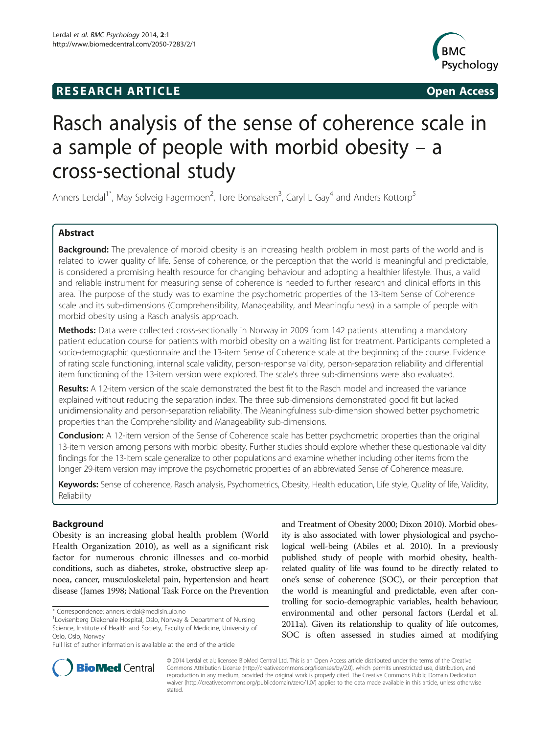## **RESEARCH ARTICLE Example 2014 CONSIDERING CONSIDERING CONSIDERING CONSIDERING CONSIDERING CONSIDERING CONSIDERING CONSIDERING CONSIDERING CONSIDERING CONSIDERING CONSIDERING CONSIDERING CONSIDERING CONSIDERING CONSIDE**



# Rasch analysis of the sense of coherence scale in a sample of people with morbid obesity – a cross-sectional study

Anners Lerdal<sup>1\*</sup>, May Solveig Fagermoen<sup>2</sup>, Tore Bonsaksen<sup>3</sup>, Caryl L Gay<sup>4</sup> and Anders Kottorp<sup>5</sup>

## Abstract

Background: The prevalence of morbid obesity is an increasing health problem in most parts of the world and is related to lower quality of life. Sense of coherence, or the perception that the world is meaningful and predictable, is considered a promising health resource for changing behaviour and adopting a healthier lifestyle. Thus, a valid and reliable instrument for measuring sense of coherence is needed to further research and clinical efforts in this area. The purpose of the study was to examine the psychometric properties of the 13-item Sense of Coherence scale and its sub-dimensions (Comprehensibility, Manageability, and Meaningfulness) in a sample of people with morbid obesity using a Rasch analysis approach.

Methods: Data were collected cross-sectionally in Norway in 2009 from 142 patients attending a mandatory patient education course for patients with morbid obesity on a waiting list for treatment. Participants completed a socio-demographic questionnaire and the 13-item Sense of Coherence scale at the beginning of the course. Evidence of rating scale functioning, internal scale validity, person-response validity, person-separation reliability and differential item functioning of the 13-item version were explored. The scale's three sub-dimensions were also evaluated.

Results: A 12-item version of the scale demonstrated the best fit to the Rasch model and increased the variance explained without reducing the separation index. The three sub-dimensions demonstrated good fit but lacked unidimensionality and person-separation reliability. The Meaningfulness sub-dimension showed better psychometric properties than the Comprehensibility and Manageability sub-dimensions.

**Conclusion:** A 12-item version of the Sense of Coherence scale has better psychometric properties than the original 13-item version among persons with morbid obesity. Further studies should explore whether these questionable validity findings for the 13-item scale generalize to other populations and examine whether including other items from the longer 29-item version may improve the psychometric properties of an abbreviated Sense of Coherence measure.

Keywords: Sense of coherence, Rasch analysis, Psychometrics, Obesity, Health education, Life style, Quality of life, Validity, Reliability

## Background

Obesity is an increasing global health problem (World Health Organization [2010\)](#page-9-0), as well as a significant risk factor for numerous chronic illnesses and co-morbid conditions, such as diabetes, stroke, obstructive sleep apnoea, cancer, musculoskeletal pain, hypertension and heart disease (James [1998](#page-8-0); National Task Force on the Prevention

and Treatment of Obesity [2000](#page-9-0); Dixon [2010\)](#page-8-0). Morbid obesity is also associated with lower physiological and psychological well-being (Abiles et al. [2010\)](#page-8-0). In a previously published study of people with morbid obesity, healthrelated quality of life was found to be directly related to one's sense of coherence (SOC), or their perception that the world is meaningful and predictable, even after controlling for socio-demographic variables, health behaviour, environmental and other personal factors (Lerdal et al. [2011a\)](#page-9-0). Given its relationship to quality of life outcomes, SOC is often assessed in studies aimed at modifying



© 2014 Lerdal et al.; licensee BioMed Central Ltd. This is an Open Access article distributed under the terms of the Creative Commons Attribution License [\(http://creativecommons.org/licenses/by/2.0\)](http://creativecommons.org/licenses/by/2.0), which permits unrestricted use, distribution, and reproduction in any medium, provided the original work is properly cited. The Creative Commons Public Domain Dedication waiver [\(http://creativecommons.org/publicdomain/zero/1.0/\)](http://creativecommons.org/publicdomain/zero/1.0/) applies to the data made available in this article, unless otherwise stated.

<sup>\*</sup> Correspondence: [anners.lerdal@medisin.uio.no](mailto:anners.lerdal@medisin.uio.no) <sup>1</sup>

Lovisenberg Diakonale Hospital, Oslo, Norway & Department of Nursing Science, Institute of Health and Society, Faculty of Medicine, University of Oslo, Oslo, Norway

Full list of author information is available at the end of the article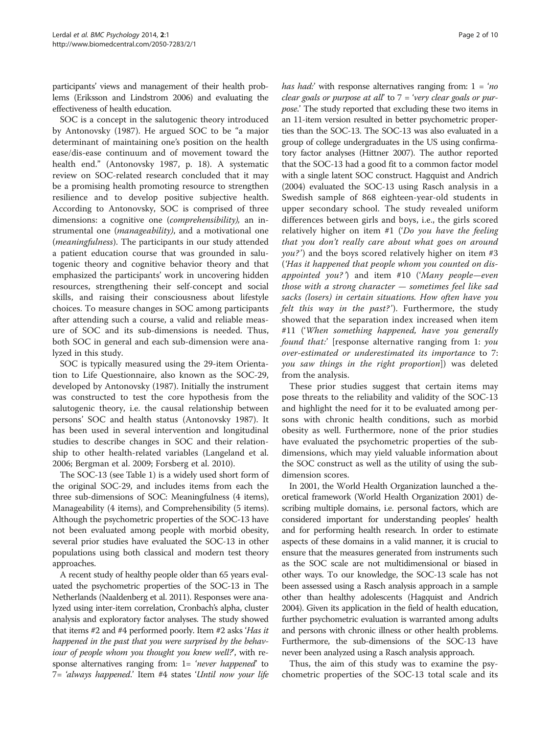participants' views and management of their health problems (Eriksson and Lindstrom [2006\)](#page-8-0) and evaluating the effectiveness of health education.

SOC is a concept in the salutogenic theory introduced by Antonovsky ([1987](#page-8-0)). He argued SOC to be "a major determinant of maintaining one's position on the health ease/dis-ease continuum and of movement toward the health end." (Antonovsky [1987](#page-8-0), p. 18). A systematic review on SOC-related research concluded that it may be a promising health promoting resource to strengthen resilience and to develop positive subjective health. According to Antonovsky, SOC is comprised of three dimensions: a cognitive one (comprehensibility), an instrumental one (*manageability*), and a motivational one (meaningfulness). The participants in our study attended a patient education course that was grounded in salutogenic theory and cognitive behavior theory and that emphasized the participants' work in uncovering hidden resources, strengthening their self-concept and social skills, and raising their consciousness about lifestyle choices. To measure changes in SOC among participants after attending such a course, a valid and reliable measure of SOC and its sub-dimensions is needed. Thus, both SOC in general and each sub-dimension were analyzed in this study.

SOC is typically measured using the 29-item Orientation to Life Questionnaire, also known as the SOC-29, developed by Antonovsky ([1987\)](#page-8-0). Initially the instrument was constructed to test the core hypothesis from the salutogenic theory, i.e. the causal relationship between persons' SOC and health status (Antonovsky [1987\)](#page-8-0). It has been used in several intervention and longitudinal studies to describe changes in SOC and their relationship to other health-related variables (Langeland et al. [2006](#page-8-0); Bergman et al. [2009](#page-8-0); Forsberg et al. [2010\)](#page-8-0).

The SOC-13 (see Table [1](#page-2-0)) is a widely used short form of the original SOC-29, and includes items from each the three sub-dimensions of SOC: Meaningfulness (4 items), Manageability (4 items), and Comprehensibility (5 items). Although the psychometric properties of the SOC-13 have not been evaluated among people with morbid obesity, several prior studies have evaluated the SOC-13 in other populations using both classical and modern test theory approaches.

A recent study of healthy people older than 65 years evaluated the psychometric properties of the SOC-13 in The Netherlands (Naaldenberg et al. [2011\)](#page-9-0). Responses were analyzed using inter-item correlation, Cronbach's alpha, cluster analysis and exploratory factor analyses. The study showed that items #2 and #4 performed poorly. Item #2 asks 'Has it happened in the past that you were surprised by the behaviour of people whom you thought you knew well?, with response alternatives ranging from: 1= 'never happened' to 7= 'always happened.' Item #4 states 'Until now your life *has had:*' with response alternatives ranging from:  $1 = 'no$ clear goals or purpose at all' to  $7$  = 'very clear goals or purpose.' The study reported that excluding these two items in an 11-item version resulted in better psychometric properties than the SOC-13. The SOC-13 was also evaluated in a group of college undergraduates in the US using confirmatory factor analyses (Hittner [2007\)](#page-8-0). The author reported that the SOC-13 had a good fit to a common factor model with a single latent SOC construct. Hagquist and Andrich ([2004](#page-8-0)) evaluated the SOC-13 using Rasch analysis in a Swedish sample of 868 eighteen-year-old students in upper secondary school. The study revealed uniform differences between girls and boys, i.e., the girls scored relatively higher on item #1 ('Do you have the feeling that you don't really care about what goes on around  $you?')$  and the boys scored relatively higher on item #3 ('Has it happened that people whom you counted on disappointed you?') and item #10 ('Many people—even those with a strong character — sometimes feel like sad sacks (losers) in certain situations. How often have you felt this way in the past?'). Furthermore, the study showed that the separation index increased when item #11 ('When something happened, have you generally found that:' [response alternative ranging from 1: you over-estimated or underestimated its importance to 7: you saw things in the right proportion]) was deleted from the analysis.

These prior studies suggest that certain items may pose threats to the reliability and validity of the SOC-13 and highlight the need for it to be evaluated among persons with chronic health conditions, such as morbid obesity as well. Furthermore, none of the prior studies have evaluated the psychometric properties of the subdimensions, which may yield valuable information about the SOC construct as well as the utility of using the subdimension scores.

In 2001, the World Health Organization launched a theoretical framework (World Health Organization [2001](#page-9-0)) describing multiple domains, i.e. personal factors, which are considered important for understanding peoples' health and for performing health research. In order to estimate aspects of these domains in a valid manner, it is crucial to ensure that the measures generated from instruments such as the SOC scale are not multidimensional or biased in other ways. To our knowledge, the SOC-13 scale has not been assessed using a Rasch analysis approach in a sample other than healthy adolescents (Hagquist and Andrich [2004\)](#page-8-0). Given its application in the field of health education, further psychometric evaluation is warranted among adults and persons with chronic illness or other health problems. Furthermore, the sub-dimensions of the SOC-13 have never been analyzed using a Rasch analysis approach.

Thus, the aim of this study was to examine the psychometric properties of the SOC-13 total scale and its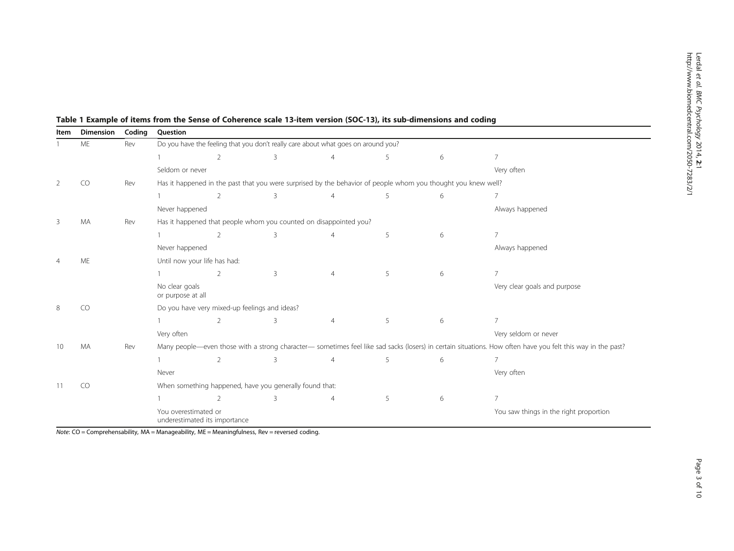| Item | <b>Dimension</b> | Coding | Question                                                                                                                                                    |                                                                                                               |   |                |   |                                        |                              |  |
|------|------------------|--------|-------------------------------------------------------------------------------------------------------------------------------------------------------------|---------------------------------------------------------------------------------------------------------------|---|----------------|---|----------------------------------------|------------------------------|--|
|      | ME               | Rev    | Do you have the feeling that you don't really care about what goes on around you?                                                                           |                                                                                                               |   |                |   |                                        |                              |  |
|      |                  |        |                                                                                                                                                             | $\overline{2}$                                                                                                | 3 | $\overline{4}$ | 5 | 6                                      | $\overline{7}$               |  |
|      |                  |        | Seldom or never                                                                                                                                             |                                                                                                               |   |                |   |                                        | Very often                   |  |
| 2    | CO               | Rev    |                                                                                                                                                             | Has it happened in the past that you were surprised by the behavior of people whom you thought you knew well? |   |                |   |                                        |                              |  |
|      |                  |        |                                                                                                                                                             | $\overline{2}$                                                                                                | 3 | $\overline{4}$ | 5 | 6                                      | 7                            |  |
|      |                  |        | Never happened                                                                                                                                              |                                                                                                               |   |                |   |                                        | Always happened              |  |
| 3    | <b>MA</b>        | Rev    |                                                                                                                                                             | Has it happened that people whom you counted on disappointed you?                                             |   |                |   |                                        |                              |  |
|      |                  |        |                                                                                                                                                             | $\overline{2}$                                                                                                | 3 |                | 5 | 6                                      | $\overline{7}$               |  |
|      |                  |        | Never happened                                                                                                                                              |                                                                                                               |   |                |   |                                        | Always happened              |  |
|      | ME               |        | Until now your life has had:                                                                                                                                |                                                                                                               |   |                |   |                                        |                              |  |
|      |                  |        |                                                                                                                                                             | 2                                                                                                             | 3 | $\overline{4}$ | 5 | 6                                      | $\overline{7}$               |  |
|      |                  |        | No clear goals<br>or purpose at all                                                                                                                         |                                                                                                               |   |                |   |                                        | Very clear goals and purpose |  |
| 8    | <b>CO</b>        |        | Do you have very mixed-up feelings and ideas?                                                                                                               |                                                                                                               |   |                |   |                                        |                              |  |
|      |                  |        |                                                                                                                                                             | $\overline{2}$                                                                                                | 3 | $\overline{4}$ | 5 | 6                                      | $\overline{7}$               |  |
|      |                  |        | Very often                                                                                                                                                  |                                                                                                               |   |                |   |                                        | Very seldom or never         |  |
| 10   | <b>MA</b>        | Rev    | Many people—even those with a strong character— sometimes feel like sad sacks (losers) in certain situations. How often have you felt this way in the past? |                                                                                                               |   |                |   |                                        |                              |  |
|      |                  |        |                                                                                                                                                             | $\overline{2}$                                                                                                | 3 | $\overline{4}$ | 5 | 6                                      | $\overline{7}$               |  |
|      |                  |        | Never                                                                                                                                                       |                                                                                                               |   |                |   |                                        | Very often                   |  |
| 11   | CO               |        | When something happened, have you generally found that:                                                                                                     |                                                                                                               |   |                |   |                                        |                              |  |
|      |                  |        |                                                                                                                                                             | $\overline{2}$                                                                                                | 3 | $\overline{4}$ | 5 | 6                                      | $\overline{7}$               |  |
|      |                  |        | You overestimated or<br>underestimated its importance                                                                                                       |                                                                                                               |   |                |   | You saw things in the right proportion |                              |  |

<span id="page-2-0"></span>Table 1 Example of items from the Sense of Coherence scale 13-item version (SOC-13), its sub-dimensions and coding

 $\overline{Note: CO}$  = Comprehensability, MA = Manageability, ME = Meaningfulness, Rev = reversed coding.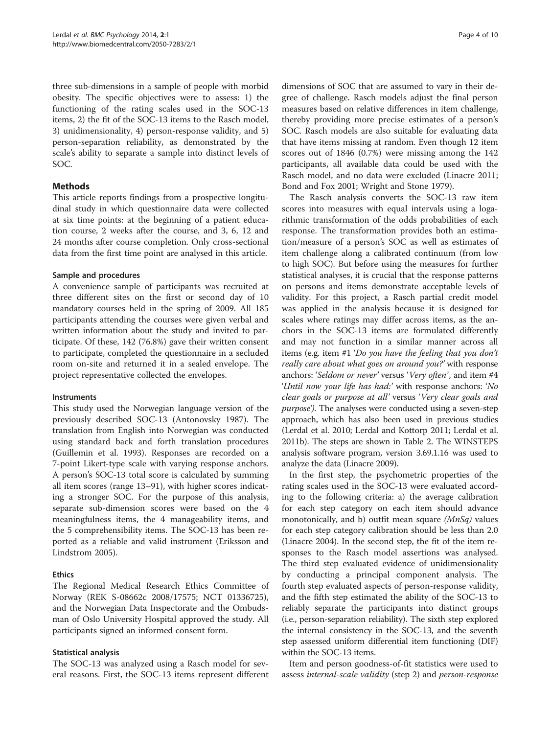three sub-dimensions in a sample of people with morbid obesity. The specific objectives were to assess: 1) the functioning of the rating scales used in the SOC-13 items, 2) the fit of the SOC-13 items to the Rasch model, 3) unidimensionality, 4) person-response validity, and 5) person-separation reliability, as demonstrated by the scale's ability to separate a sample into distinct levels of SOC.

## **Methods**

This article reports findings from a prospective longitudinal study in which questionnaire data were collected at six time points: at the beginning of a patient education course, 2 weeks after the course, and 3, 6, 12 and 24 months after course completion. Only cross-sectional data from the first time point are analysed in this article.

## Sample and procedures

A convenience sample of participants was recruited at three different sites on the first or second day of 10 mandatory courses held in the spring of 2009. All 185 participants attending the courses were given verbal and written information about the study and invited to participate. Of these, 142 (76.8%) gave their written consent to participate, completed the questionnaire in a secluded room on-site and returned it in a sealed envelope. The project representative collected the envelopes.

## **Instruments**

This study used the Norwegian language version of the previously described SOC-13 (Antonovsky [1987\)](#page-8-0). The translation from English into Norwegian was conducted using standard back and forth translation procedures (Guillemin et al. [1993](#page-8-0)). Responses are recorded on a 7-point Likert-type scale with varying response anchors. A person's SOC-13 total score is calculated by summing all item scores (range 13–91), with higher scores indicating a stronger SOC. For the purpose of this analysis, separate sub-dimension scores were based on the 4 meaningfulness items, the 4 manageability items, and the 5 comprehensibility items. The SOC-13 has been reported as a reliable and valid instrument (Eriksson and Lindstrom [2005\)](#page-8-0).

## Ethics

The Regional Medical Research Ethics Committee of Norway (REK S-08662c 2008/17575; NCT 01336725), and the Norwegian Data Inspectorate and the Ombudsman of Oslo University Hospital approved the study. All participants signed an informed consent form.

## Statistical analysis

The SOC-13 was analyzed using a Rasch model for several reasons. First, the SOC-13 items represent different dimensions of SOC that are assumed to vary in their degree of challenge. Rasch models adjust the final person measures based on relative differences in item challenge, thereby providing more precise estimates of a person's SOC. Rasch models are also suitable for evaluating data that have items missing at random. Even though 12 item scores out of 1846 (0.7%) were missing among the 142 participants, all available data could be used with the Rasch model, and no data were excluded (Linacre [2011](#page-9-0); Bond and Fox [2001;](#page-8-0) Wright and Stone [1979\)](#page-9-0).

The Rasch analysis converts the SOC-13 raw item scores into measures with equal intervals using a logarithmic transformation of the odds probabilities of each response. The transformation provides both an estimation/measure of a person's SOC as well as estimates of item challenge along a calibrated continuum (from low to high SOC). But before using the measures for further statistical analyses, it is crucial that the response patterns on persons and items demonstrate acceptable levels of validity. For this project, a Rasch partial credit model was applied in the analysis because it is designed for scales where ratings may differ across items, as the anchors in the SOC-13 items are formulated differently and may not function in a similar manner across all items (e.g. item #1 'Do you have the feeling that you don't really care about what goes on around you?' with response anchors: 'Seldom or never' versus 'Very often', and item #4 'Until now your life has had:' with response anchors: 'No clear goals or purpose at all' versus 'Very clear goals and purpose'). The analyses were conducted using a seven-step approach, which has also been used in previous studies (Lerdal et al. [2010;](#page-9-0) Lerdal and Kottorp [2011;](#page-9-0) Lerdal et al. [2011b\)](#page-9-0). The steps are shown in Table [2](#page-4-0). The WINSTEPS analysis software program, version 3.69.1.16 was used to analyze the data (Linacre [2009\)](#page-9-0).

In the first step, the psychometric properties of the rating scales used in the SOC-13 were evaluated according to the following criteria: a) the average calibration for each step category on each item should advance monotonically, and b) outfit mean square  $(MnSq)$  values for each step category calibration should be less than 2.0 (Linacre [2004](#page-9-0)). In the second step, the fit of the item responses to the Rasch model assertions was analysed. The third step evaluated evidence of unidimensionality by conducting a principal component analysis. The fourth step evaluated aspects of person-response validity, and the fifth step estimated the ability of the SOC-13 to reliably separate the participants into distinct groups (i.e., person-separation reliability). The sixth step explored the internal consistency in the SOC-13, and the seventh step assessed uniform differential item functioning (DIF) within the SOC-13 items.

Item and person goodness-of-fit statistics were used to assess internal-scale validity (step 2) and person-response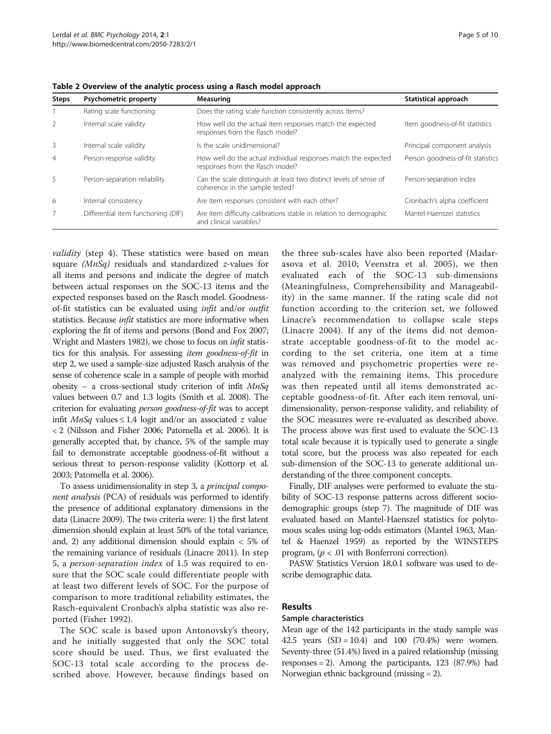| <b>Steps</b>   | Psychometric property               | Measuring                                                                                             | Statistical approach              |
|----------------|-------------------------------------|-------------------------------------------------------------------------------------------------------|-----------------------------------|
|                | Rating scale functioning            | Does the rating scale function consistently across items?                                             |                                   |
| 2              | Internal scale validity             | How well do the actual item responses match the expected<br>responses from the Rasch model?           | Item goodness-of-fit statistics   |
| 3              | Internal scale validity             | Is the scale unidimensional?                                                                          | Principal component analysis      |
| $\overline{4}$ | Person-response validity            | How well do the actual individual responses match the expected<br>responses from the Rasch model?     | Person goodness-of-fit statistics |
| 5              | Person-separation reliability       | Can the scale distinguish at least two distinct levels of sense of<br>coherence in the sample tested? | Person-separation index           |
| 6              | Internal consistency                | Are item responses consistent with each other?                                                        | Cronbach's alpha coefficient      |
| 7              | Differential item functioning (DIF) | Are item difficulty calibrations stable in relation to demographic<br>and clinical variables?         | Mantel-Haenszel statistics        |

<span id="page-4-0"></span>Table 2 Overview of the analytic process using a Rasch model approach

validity (step 4). These statistics were based on mean square (MnSq) residuals and standardized z-values for all items and persons and indicate the degree of match between actual responses on the SOC-13 items and the expected responses based on the Rasch model. Goodnessof-fit statistics can be evaluated using infit and/or outfit statistics. Because *infit* statistics are more informative when exploring the fit of items and persons (Bond and Fox [2007](#page-8-0); Wright and Masters [1982\)](#page-9-0), we chose to focus on infit statistics for this analysis. For assessing item goodness-of-fit in step 2, we used a sample-size adjusted Rasch analysis of the sense of coherence scale in a sample of people with morbid obesity – a cross-sectional study criterion of infit  $MnSq$ values between 0.7 and 1.3 logits (Smith et al. [2008\)](#page-9-0). The criterion for evaluating person goodness-of-fit was to accept infit *MnSq* values ≤ 1.4 logit and/or an associated *z* value < 2 (Nilsson and Fisher [2006;](#page-9-0) Patomella et al. [2006](#page-9-0)). It is generally accepted that, by chance, 5% of the sample may fail to demonstrate acceptable goodness-of-fit without a serious threat to person-response validity (Kottorp et al. [2003;](#page-8-0) Patomella et al. [2006](#page-9-0)).

To assess unidimensionality in step 3, a principal component analysis (PCA) of residuals was performed to identify the presence of additional explanatory dimensions in the data (Linacre 2009). The two criteria were: 1) the first latent dimension should explain at least 50% of the total variance, and, 2) any additional dimension should explain < 5% of the remaining variance of residuals (Linacre [2011](#page-9-0)). In step 5, a person-separation index of 1.5 was required to ensure that the SOC scale could differentiate people with at least two different levels of SOC. For the purpose of comparison to more traditional reliability estimates, the Rasch-equivalent Cronbach's alpha statistic was also reported (Fisher [1992](#page-8-0)).

The SOC scale is based upon Antonovsky's theory, and he initially suggested that only the SOC total score should be used. Thus, we first evaluated the SOC-13 total scale according to the process described above. However, because findings based on

the three sub-scales have also been reported (Madarasova et al. [2010;](#page-9-0) Veenstra et al. [2005](#page-9-0)), we then evaluated each of the SOC-13 sub-dimensions (Meaningfulness, Comprehensibility and Manageability) in the same manner. If the rating scale did not function according to the criterion set, we followed Linacre's recommendation to collapse scale steps (Linacre [2004](#page-9-0)). If any of the items did not demonstrate acceptable goodness-of-fit to the model according to the set criteria, one item at a time was removed and psychometric properties were reanalyzed with the remaining items. This procedure was then repeated until all items demonstrated acceptable goodness-of-fit. After each item removal, unidimensionality, person-response validity, and reliability of the SOC measures were re-evaluated as described above. The process above was first used to evaluate the SOC-13 total scale because it is typically used to generate a single total score, but the process was also repeated for each sub-dimension of the SOC-13 to generate additional understanding of the three component concepts.

Finally, DIF analyses were performed to evaluate the stability of SOC-13 response patterns across different sociodemographic groups (step 7). The magnitude of DIF was evaluated based on Mantel-Haenszel statistics for polytomous scales using log-odds estimators (Mantel [1963,](#page-9-0) Mantel & Haenzel [1959](#page-9-0)) as reported by the WINSTEPS program,  $(p < .01$  with Bonferroni correction).

PASW Statistics Version 18.0.1 software was used to describe demographic data.

#### Results

#### Sample characteristics

Mean age of the 142 participants in the study sample was 42.5 years  $(SD = 10.4)$  and 100  $(70.4%)$  were women. Seventy-three (51.4%) lived in a paired relationship (missing responses = 2). Among the participants,  $123$  (87.9%) had Norwegian ethnic background (missing = 2).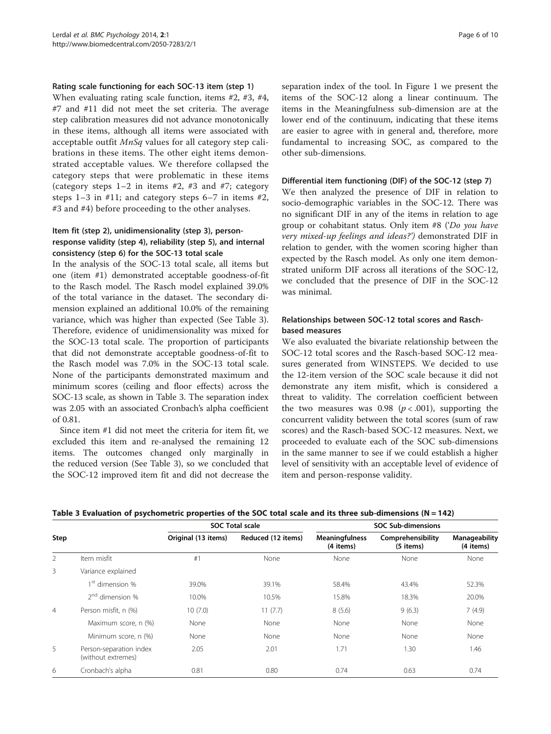#### <span id="page-5-0"></span>Rating scale functioning for each SOC-13 item (step 1)

When evaluating rating scale function, items #2, #3, #4, #7 and #11 did not meet the set criteria. The average step calibration measures did not advance monotonically in these items, although all items were associated with acceptable outfit  $MnSq$  values for all category step calibrations in these items. The other eight items demonstrated acceptable values. We therefore collapsed the category steps that were problematic in these items (category steps  $1-2$  in items  $\#2$ ,  $\#3$  and  $\#7$ ; category steps 1–3 in #11; and category steps 6–7 in items #2, #3 and #4) before proceeding to the other analyses.

## Item fit (step 2), unidimensionality (step 3), personresponse validity (step 4), reliability (step 5), and internal consistency (step 6) for the SOC-13 total scale

In the analysis of the SOC-13 total scale, all items but one (item #1) demonstrated acceptable goodness-of-fit to the Rasch model. The Rasch model explained 39.0% of the total variance in the dataset. The secondary dimension explained an additional 10.0% of the remaining variance, which was higher than expected (See Table 3). Therefore, evidence of unidimensionality was mixed for the SOC-13 total scale. The proportion of participants that did not demonstrate acceptable goodness-of-fit to the Rasch model was 7.0% in the SOC-13 total scale. None of the participants demonstrated maximum and minimum scores (ceiling and floor effects) across the SOC-13 scale, as shown in Table 3. The separation index was 2.05 with an associated Cronbach's alpha coefficient of 0.81.

Since item #1 did not meet the criteria for item fit, we excluded this item and re-analysed the remaining 12 items. The outcomes changed only marginally in the reduced version (See Table 3), so we concluded that the SOC-12 improved item fit and did not decrease the

separation index of the tool. In Figure [1](#page-6-0) we present the items of the SOC-12 along a linear continuum. The items in the Meaningfulness sub-dimension are at the lower end of the continuum, indicating that these items are easier to agree with in general and, therefore, more fundamental to increasing SOC, as compared to the other sub-dimensions.

#### Differential item functioning (DIF) of the SOC-12 (step 7)

We then analyzed the presence of DIF in relation to socio-demographic variables in the SOC-12. There was no significant DIF in any of the items in relation to age group or cohabitant status. Only item #8 ('Do you have very mixed-up feelings and ideas?') demonstrated DIF in relation to gender, with the women scoring higher than expected by the Rasch model. As only one item demonstrated uniform DIF across all iterations of the SOC-12, we concluded that the presence of DIF in the SOC-12 was minimal.

## Relationships between SOC-12 total scores and Raschbased measures

We also evaluated the bivariate relationship between the SOC-12 total scores and the Rasch-based SOC-12 measures generated from WINSTEPS. We decided to use the 12-item version of the SOC scale because it did not demonstrate any item misfit, which is considered a threat to validity. The correlation coefficient between the two measures was 0.98 ( $p < .001$ ), supporting the concurrent validity between the total scores (sum of raw scores) and the Rasch-based SOC-12 measures. Next, we proceeded to evaluate each of the SOC sub-dimensions in the same manner to see if we could establish a higher level of sensitivity with an acceptable level of evidence of item and person-response validity.

Table 3 Evaluation of psychometric properties of the SOC total scale and its three sub-dimensions (N = 142)

|                |                                               |                     | <b>SOC Total scale</b> | <b>SOC Sub-dimensions</b>          |                                |                            |  |
|----------------|-----------------------------------------------|---------------------|------------------------|------------------------------------|--------------------------------|----------------------------|--|
| Step           |                                               | Original (13 items) | Reduced (12 items)     | <b>Meaningfulness</b><br>(4 items) | Comprehensibility<br>(5 items) | Manageability<br>(4 items) |  |
| 2              | Item misfit                                   | #1                  | None                   | None                               | None                           | None                       |  |
| 3              | Variance explained                            |                     |                        |                                    |                                |                            |  |
|                | 1 <sup>st</sup> dimension %                   | 39.0%               | 39.1%                  | 58.4%                              | 43.4%                          | 52.3%                      |  |
|                | $2nd$ dimension %                             | 10.0%               | 10.5%                  | 15.8%                              | 18.3%                          | 20.0%                      |  |
| $\overline{4}$ | Person misfit, n (%)                          | 10(7.0)             | 11(7.7)                | 8(5.6)                             | 9(6.3)                         | 7(4.9)                     |  |
|                | Maximum score, n (%)                          | None                | None                   | None                               | None                           | None                       |  |
|                | Minimum score, n (%)                          | None                | None                   | None                               | None                           | None                       |  |
| 5              | Person-separation index<br>(without extremes) | 2.05                | 2.01                   | 1.71                               | 1.30                           | 1.46                       |  |
| 6              | Cronbach's alpha                              | 0.81                | 0.80                   | 0.74                               | 0.63                           | 0.74                       |  |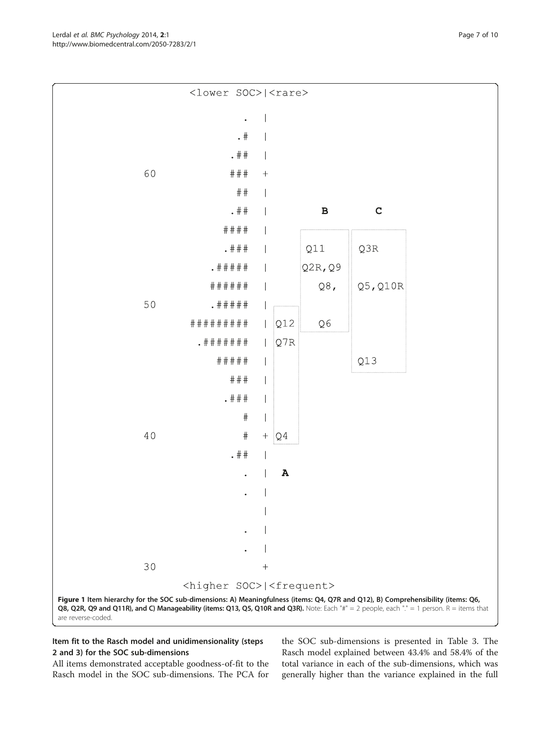All items demonstrated acceptable goodness-of-fit to the Rasch model in the SOC sub-dimensions. The PCA for

Item fit to the Rasch model and unidimensionality (steps

2 and 3) for the SOC sub-dimensions

the SOC sub-dimensions is presented in Table [3.](#page-5-0) The Rasch model explained between 43.4% and 58.4% of the total variance in each of the sub-dimensions, which was generally higher than the variance explained in the full

<span id="page-6-0"></span>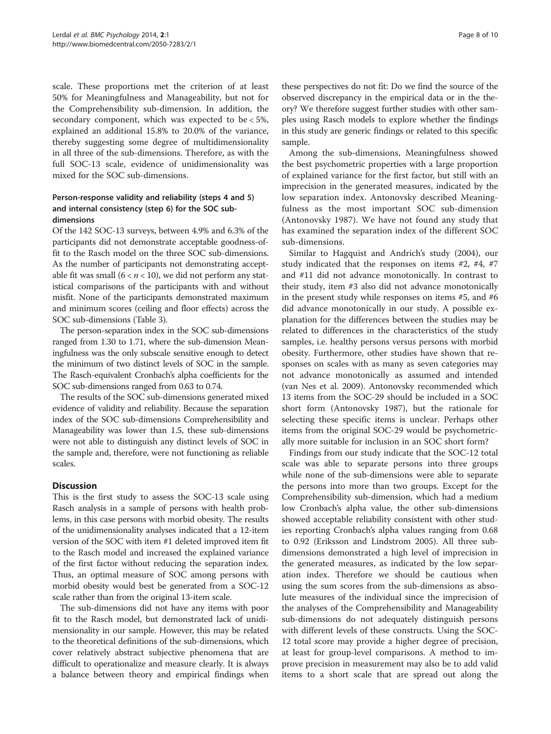scale. These proportions met the criterion of at least 50% for Meaningfulness and Manageability, but not for the Comprehensibility sub-dimension. In addition, the secondary component, which was expected to be < 5%, explained an additional 15.8% to 20.0% of the variance, thereby suggesting some degree of multidimensionality in all three of the sub-dimensions. Therefore, as with the full SOC-13 scale, evidence of unidimensionality was mixed for the SOC sub-dimensions.

## Person-response validity and reliability (steps 4 and 5) and internal consistency (step 6) for the SOC subdimensions

Of the 142 SOC-13 surveys, between 4.9% and 6.3% of the participants did not demonstrate acceptable goodness-offit to the Rasch model on the three SOC sub-dimensions. As the number of participants not demonstrating acceptable fit was small  $(6 < n < 10)$ , we did not perform any statistical comparisons of the participants with and without misfit. None of the participants demonstrated maximum and minimum scores (ceiling and floor effects) across the SOC sub-dimensions (Table [3](#page-5-0)).

The person-separation index in the SOC sub-dimensions ranged from 1.30 to 1.71, where the sub-dimension Meaningfulness was the only subscale sensitive enough to detect the minimum of two distinct levels of SOC in the sample. The Rasch-equivalent Cronbach's alpha coefficients for the SOC sub-dimensions ranged from 0.63 to 0.74.

The results of the SOC sub-dimensions generated mixed evidence of validity and reliability. Because the separation index of the SOC sub-dimensions Comprehensibility and Manageability was lower than 1.5, these sub-dimensions were not able to distinguish any distinct levels of SOC in the sample and, therefore, were not functioning as reliable scales.

## **Discussion**

This is the first study to assess the SOC-13 scale using Rasch analysis in a sample of persons with health problems, in this case persons with morbid obesity. The results of the unidimensionality analyses indicated that a 12-item version of the SOC with item #1 deleted improved item fit to the Rasch model and increased the explained variance of the first factor without reducing the separation index. Thus, an optimal measure of SOC among persons with morbid obesity would best be generated from a SOC-12 scale rather than from the original 13-item scale.

The sub-dimensions did not have any items with poor fit to the Rasch model, but demonstrated lack of unidimensionality in our sample. However, this may be related to the theoretical definitions of the sub-dimensions, which cover relatively abstract subjective phenomena that are difficult to operationalize and measure clearly. It is always a balance between theory and empirical findings when

these perspectives do not fit: Do we find the source of the observed discrepancy in the empirical data or in the theory? We therefore suggest further studies with other samples using Rasch models to explore whether the findings in this study are generic findings or related to this specific sample.

Among the sub-dimensions, Meaningfulness showed the best psychometric properties with a large proportion of explained variance for the first factor, but still with an imprecision in the generated measures, indicated by the low separation index. Antonovsky described Meaningfulness as the most important SOC sub-dimension (Antonovsky [1987\)](#page-8-0). We have not found any study that has examined the separation index of the different SOC sub-dimensions.

Similar to Hagquist and Andrich's study ([2004](#page-8-0)), our study indicated that the responses on items #2, #4, #7 and #11 did not advance monotonically. In contrast to their study, item #3 also did not advance monotonically in the present study while responses on items #5, and #6 did advance monotonically in our study. A possible explanation for the differences between the studies may be related to differences in the characteristics of the study samples, i.e. healthy persons versus persons with morbid obesity. Furthermore, other studies have shown that responses on scales with as many as seven categories may not advance monotonically as assumed and intended (van Nes et al. [2009\)](#page-9-0). Antonovsky recommended which 13 items from the SOC-29 should be included in a SOC short form (Antonovsky [1987](#page-8-0)), but the rationale for selecting these specific items is unclear. Perhaps other items from the original SOC-29 would be psychometrically more suitable for inclusion in an SOC short form?

Findings from our study indicate that the SOC-12 total scale was able to separate persons into three groups while none of the sub-dimensions were able to separate the persons into more than two groups. Except for the Comprehensibility sub-dimension, which had a medium low Cronbach's alpha value, the other sub-dimensions showed acceptable reliability consistent with other studies reporting Cronbach's alpha values ranging from 0.68 to 0.92 (Eriksson and Lindstrom [2005](#page-8-0)). All three subdimensions demonstrated a high level of imprecision in the generated measures, as indicated by the low separation index. Therefore we should be cautious when using the sum scores from the sub-dimensions as absolute measures of the individual since the imprecision of the analyses of the Comprehensibility and Manageability sub-dimensions do not adequately distinguish persons with different levels of these constructs. Using the SOC-12 total score may provide a higher degree of precision, at least for group-level comparisons. A method to improve precision in measurement may also be to add valid items to a short scale that are spread out along the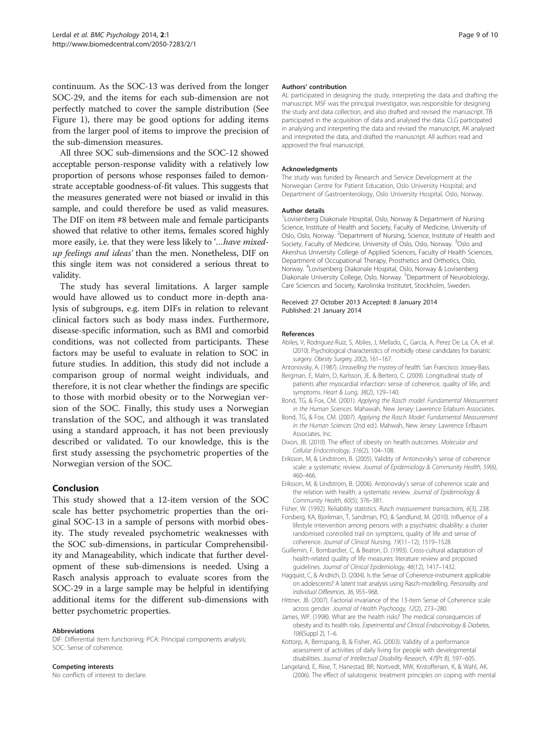<span id="page-8-0"></span>continuum. As the SOC-13 was derived from the longer SOC-29, and the items for each sub-dimension are not perfectly matched to cover the sample distribution (See Figure [1\)](#page-6-0), there may be good options for adding items from the larger pool of items to improve the precision of the sub-dimension measures.

All three SOC sub-dimensions and the SOC-12 showed acceptable person-response validity with a relatively low proportion of persons whose responses failed to demonstrate acceptable goodness-of-fit values. This suggests that the measures generated were not biased or invalid in this sample, and could therefore be used as valid measures. The DIF on item #8 between male and female participants showed that relative to other items, females scored highly more easily, i.e. that they were less likely to '…have mixedup feelings and ideas' than the men. Nonetheless, DIF on this single item was not considered a serious threat to validity.

The study has several limitations. A larger sample would have allowed us to conduct more in-depth analysis of subgroups, e.g. item DIFs in relation to relevant clinical factors such as body mass index. Furthermore, disease-specific information, such as BMI and comorbid conditions, was not collected from participants. These factors may be useful to evaluate in relation to SOC in future studies. In addition, this study did not include a comparison group of normal weight individuals, and therefore, it is not clear whether the findings are specific to those with morbid obesity or to the Norwegian version of the SOC. Finally, this study uses a Norwegian translation of the SOC, and although it was translated using a standard approach, it has not been previously described or validated. To our knowledge, this is the first study assessing the psychometric properties of the Norwegian version of the SOC.

#### Conclusion

This study showed that a 12-item version of the SOC scale has better psychometric properties than the original SOC-13 in a sample of persons with morbid obesity. The study revealed psychometric weaknesses with the SOC sub-dimensions, in particular Comprehensibility and Manageability, which indicate that further development of these sub-dimensions is needed. Using a Rasch analysis approach to evaluate scores from the SOC-29 in a large sample may be helpful in identifying additional items for the different sub-dimensions with better psychometric properties.

#### Abbreviations

DIF: Differential item functioning; PCA: Principal components analysis; SOC: Sense of coherence.

#### Competing interests

No conflicts of interest to declare.

#### Authors' contribution

AL participated in designing the study, interpreting the data and drafting the manuscript. MSF was the principal investigator, was responsible for designing the study and data collection, and also drafted and revised the manuscript. TB participated in the acquisition of data and analysed the data. CLG participated in analysing and interpreting the data and revised the manuscript, AK analysed and interpreted the data, and drafted the manuscript. All authors read and approved the final manuscript.

#### Acknowledgments

The study was funded by Research and Service Development at the Norwegian Centre for Patient Education, Oslo University Hospital; and Department of Gastroenterology, Oslo University Hospital, Oslo, Norway.

#### Author details

<sup>1</sup> Lovisenberg Diakonale Hospital, Oslo, Norway & Department of Nursing Science, Institute of Health and Society, Faculty of Medicine, University of Oslo, Oslo, Norway. <sup>2</sup> Department of Nursing, Science, Institute of Health and Society, Faculty of Medicine, University of Oslo, Oslo, Norway. <sup>3</sup>Oslo and Akershus University College of Applied Sciences, Faculty of Health Sciences, Department of Occupational Therapy, Prosthetics and Orthotics, Oslo, Norway. <sup>4</sup> Lovisenberg Diakonale Hospital, Oslo, Norway & Lovisenberg Diakonale University College, Oslo, Norway. <sup>5</sup>Department of Neurobiology, Care Sciences and Society, Karolinska Institutet, Stockholm, Sweden.

#### Received: 27 October 2013 Accepted: 8 January 2014 Published: 21 January 2014

#### References

- Abiles, V, Rodriguez-Ruiz, S, Abiles, J, Mellado, C, Garcia, A, Perez De La, CA, et al. (2010). Psychological characteristics of morbidly obese candidates for bariatric surgery. Obesity Surgery, 20(2), 161-167.
- Antonovsky, A. (1987). Unravelling the mystery of health. San Francisco: Jossey-Bass.
- Bergman, E, Malm, D, Karlsson, JE, & Bertero, C. (2009). Longitudinal study of patients after myocardial infarction: sense of coherence, quality of life, and symptoms. Heart & Lung, 38(2), 129–140.
- Bond, TG, & Fox, CM. (2001). Applying the Rasch model: Fundamental Measurement in the Human Sciences. Mahawah, New Jersey: Lawrence Erlabum Associates.
- Bond, TG, & Fox, CM. (2007). Applying the Rasch Model: Fundamental Measurement in the Human Sciences (2nd ed.). Mahwah, New Jersey: Lawrence Erlbaum Associates, Inc.
- Dixon, JB. (2010). The effect of obesity on health outcomes. Molecular and Cellular Endocrinology, 316(2), 104–108.
- Eriksson, M, & Lindstrom, B. (2005). Validity of Antonovsky's sense of coherence scale: a systematic review. Journal of Epidemiology & Community Health, 59(6), 460–466.
- Eriksson, M, & Lindstrom, B. (2006). Antonovsky's sense of coherence scale and the relation with health: a systematic review. Journal of Epidemiology & Community Health, 60(5), 376–381.
- Fisher, W. (1992). Reliability statistics. Rasch measurement transactions, 6(3), 238.
- Forsberg, KA, Bjorkman, T, Sandman, PO, & Sandlund, M. (2010). Influence of a lifestyle intervention among persons with a psychiatric disability: a cluster randomised controlled trail on symptoms, quality of life and sense of coherence. Journal of Clinical Nursing, 19(11–12), 1519–1528.
- Guillemin, F, Bombardier, C, & Beaton, D. (1993). Cross-cultural adaptation of health-related quality of life measures: literature review and proposed guidelines. Journal of Clinical Epidemiology, 46(12), 1417–1432.
- Hagquist, C, & Andrich, D. (2004). Is the Sense of Coherence-instrument applicable on adolescents? A latent trait analysis using Rasch-modelling. Personality and Individual Differences, 36, 955–968.
- Hittner, JB. (2007). Factorial invariance of the 13-item Sense of Coherence scale across gender. Journal of Health Psychoogy, 12(2), 273–280.
- James, WP. (1998). What are the health risks? The medical consequences of obesity and its health risks. Experimental and Clinical Endocrinology & Diabetes, 106(Suppl 2), 1–6.
- Kottorp, A, Bernspang, B, & Fisher, AG. (2003). Validity of a performance assessment of activities of daily living for people with developmental disabilities. Journal of Intellectual Disability Research, 47(Pt 8), 597–605.
- Langeland, E, Riise, T, Hanestad, BR, Nortvedt, MW, Kristoffersen, K, & Wahl, AK. (2006). The effect of salutogenic treatment principles on coping with mental